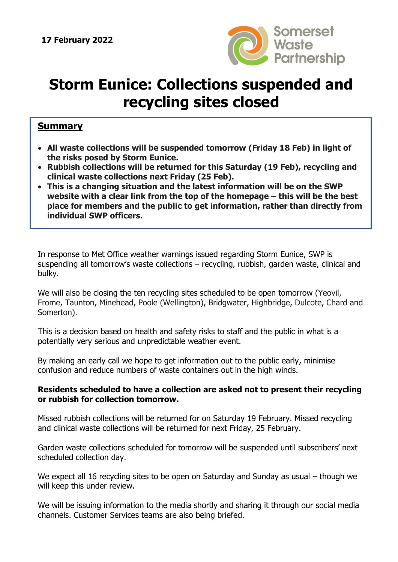

## **Storm Eunice: Collections suspended and recycling sites closed**

## **Summary**

- **All waste collections will be suspended tomorrow (Friday 18 Feb) in light of the risks posed by Storm Eunice.**
- **Rubbish collections will be returned for this Saturday (19 Feb), recycling and clinical waste collections next Friday (25 Feb).**
- **This is a changing situation and the latest information will be on the SWP website with a clear link from the top of the homepage – this will be the best place for members and the public to get information, rather than directly from individual SWP officers.**

In response to Met Office weather warnings issued regarding Storm Eunice, SWP is suspending all tomorrow's waste collections – recycling, rubbish, garden waste, clinical and bulky.

We will also be closing the ten recycling sites scheduled to be open tomorrow (Yeovil, Frome, Taunton, Minehead, Poole (Wellington), Bridgwater, Highbridge, Dulcote, Chard and Somerton).

This is a decision based on health and safety risks to staff and the public in what is a potentially very serious and unpredictable weather event.

By making an early call we hope to get information out to the public early, minimise confusion and reduce numbers of waste containers out in the high winds.

## **Residents scheduled to have a collection are asked not to present their recycling or rubbish for collection tomorrow.**

Missed rubbish collections will be returned for on Saturday 19 February. Missed recycling and clinical waste collections will be returned for next Friday, 25 February.

Garden waste collections scheduled for tomorrow will be suspended until subscribers' next scheduled collection day.

We expect all 16 recycling sites to be open on Saturday and Sunday as usual – though we will keep this under review.

We will be issuing information to the media shortly and sharing it through our social media channels. Customer Services teams are also being briefed.